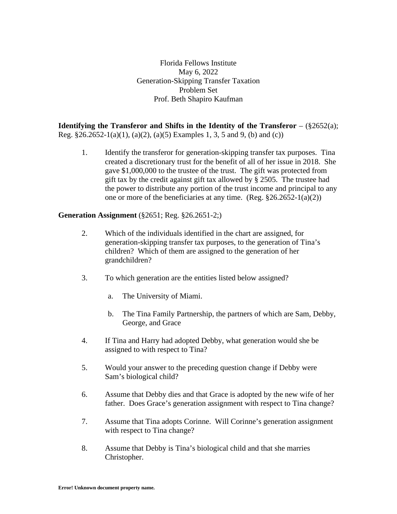Florida Fellows Institute May 6, 2022 Generation-Skipping Transfer Taxation Problem Set Prof. Beth Shapiro Kaufman

**Identifying the Transferor and Shifts in the Identity of the Transferor**  $(\frac{8}{2652(a)};$ Reg.  $\S 26.2652 - 1$ (a)(1), (a)(2), (a)(5) Examples 1, 3, 5 and 9, (b) and (c))

1. Identify the transferor for generation-skipping transfer tax purposes. Tina created a discretionary trust for the benefit of all of her issue in 2018. She gave \$1,000,000 to the trustee of the trust. The gift was protected from gift tax by the credit against gift tax allowed by § 2505. The trustee had the power to distribute any portion of the trust income and principal to any one or more of the beneficiaries at any time. (Reg.  $\S 26.2652 - 1(a)(2)$ )

#### **Generation Assignment** (§2651; Reg. §26.2651-2;)

- 2. Which of the individuals identified in the chart are assigned, for generation-skipping transfer tax purposes, to the generation of Tina's children? Which of them are assigned to the generation of her grandchildren?
- 3. To which generation are the entities listed below assigned?
	- a. The University of Miami.
	- b. The Tina Family Partnership, the partners of which are Sam, Debby, George, and Grace
- 4. If Tina and Harry had adopted Debby, what generation would she be assigned to with respect to Tina?
- 5. Would your answer to the preceding question change if Debby were Sam's biological child?
- 6. Assume that Debby dies and that Grace is adopted by the new wife of her father. Does Grace's generation assignment with respect to Tina change?
- 7. Assume that Tina adopts Corinne. Will Corinne's generation assignment with respect to Tina change?
- 8. Assume that Debby is Tina's biological child and that she marries Christopher.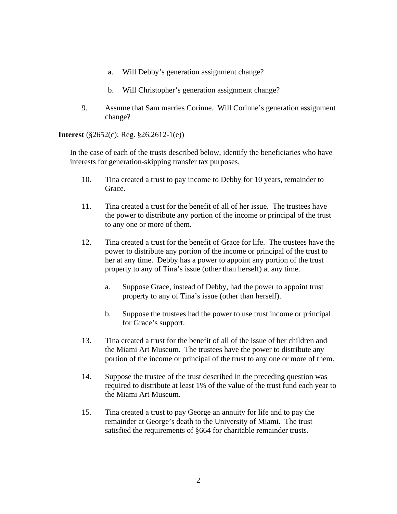- a. Will Debby's generation assignment change?
- b. Will Christopher's generation assignment change?
- 9. Assume that Sam marries Corinne. Will Corinne's generation assignment change?

**Interest** (§2652(c); Reg. §26.2612-1(e))

In the case of each of the trusts described below, identify the beneficiaries who have interests for generation-skipping transfer tax purposes.

- 10. Tina created a trust to pay income to Debby for 10 years, remainder to Grace.
- 11. Tina created a trust for the benefit of all of her issue. The trustees have the power to distribute any portion of the income or principal of the trust to any one or more of them.
- 12. Tina created a trust for the benefit of Grace for life. The trustees have the power to distribute any portion of the income or principal of the trust to her at any time. Debby has a power to appoint any portion of the trust property to any of Tina's issue (other than herself) at any time.
	- a. Suppose Grace, instead of Debby, had the power to appoint trust property to any of Tina's issue (other than herself).
	- b. Suppose the trustees had the power to use trust income or principal for Grace's support.
- 13. Tina created a trust for the benefit of all of the issue of her children and the Miami Art Museum. The trustees have the power to distribute any portion of the income or principal of the trust to any one or more of them.
- 14. Suppose the trustee of the trust described in the preceding question was required to distribute at least 1% of the value of the trust fund each year to the Miami Art Museum.
- 15. Tina created a trust to pay George an annuity for life and to pay the remainder at George's death to the University of Miami. The trust satisfied the requirements of §664 for charitable remainder trusts.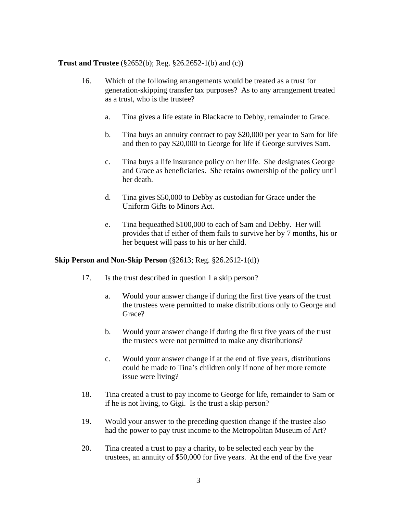#### **Trust and Trustee** (§2652(b); Reg. §26.2652-1(b) and (c))

- 16. Which of the following arrangements would be treated as a trust for generation-skipping transfer tax purposes? As to any arrangement treated as a trust, who is the trustee?
	- a. Tina gives a life estate in Blackacre to Debby, remainder to Grace.
	- b. Tina buys an annuity contract to pay \$20,000 per year to Sam for life and then to pay \$20,000 to George for life if George survives Sam.
	- c. Tina buys a life insurance policy on her life. She designates George and Grace as beneficiaries. She retains ownership of the policy until her death.
	- d. Tina gives \$50,000 to Debby as custodian for Grace under the Uniform Gifts to Minors Act.
	- e. Tina bequeathed \$100,000 to each of Sam and Debby. Her will provides that if either of them fails to survive her by 7 months, his or her bequest will pass to his or her child.

#### **Skip Person and Non-Skip Person** (§2613; Reg. §26.2612-1(d))

- 17. Is the trust described in question 1 a skip person?
	- a. Would your answer change if during the first five years of the trust the trustees were permitted to make distributions only to George and Grace?
	- b. Would your answer change if during the first five years of the trust the trustees were not permitted to make any distributions?
	- c. Would your answer change if at the end of five years, distributions could be made to Tina's children only if none of her more remote issue were living?
- 18. Tina created a trust to pay income to George for life, remainder to Sam or if he is not living, to Gigi. Is the trust a skip person?
- 19. Would your answer to the preceding question change if the trustee also had the power to pay trust income to the Metropolitan Museum of Art?
- 20. Tina created a trust to pay a charity, to be selected each year by the trustees, an annuity of \$50,000 for five years. At the end of the five year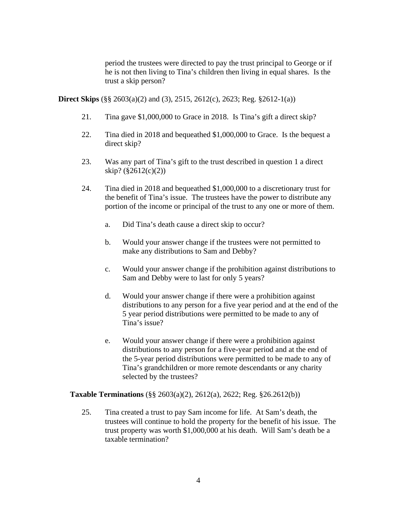period the trustees were directed to pay the trust principal to George or if he is not then living to Tina's children then living in equal shares. Is the trust a skip person?

**Direct Skips** (§§ 2603(a)(2) and (3), 2515, 2612(c), 2623; Reg. §2612-1(a))

- 21. Tina gave \$1,000,000 to Grace in 2018. Is Tina's gift a direct skip?
- 22. Tina died in 2018 and bequeathed \$1,000,000 to Grace. Is the bequest a direct skip?
- 23. Was any part of Tina's gift to the trust described in question 1 a direct skip? (§2612(c)(2))
- 24. Tina died in 2018 and bequeathed \$1,000,000 to a discretionary trust for the benefit of Tina's issue. The trustees have the power to distribute any portion of the income or principal of the trust to any one or more of them.
	- a. Did Tina's death cause a direct skip to occur?
	- b. Would your answer change if the trustees were not permitted to make any distributions to Sam and Debby?
	- c. Would your answer change if the prohibition against distributions to Sam and Debby were to last for only 5 years?
	- d. Would your answer change if there were a prohibition against distributions to any person for a five year period and at the end of the 5 year period distributions were permitted to be made to any of Tina's issue?
	- e. Would your answer change if there were a prohibition against distributions to any person for a five-year period and at the end of the 5-year period distributions were permitted to be made to any of Tina's grandchildren or more remote descendants or any charity selected by the trustees?

**Taxable Terminations** (§§ 2603(a)(2), 2612(a), 2622; Reg. §26.2612(b))

25. Tina created a trust to pay Sam income for life. At Sam's death, the trustees will continue to hold the property for the benefit of his issue. The trust property was worth \$1,000,000 at his death. Will Sam's death be a taxable termination?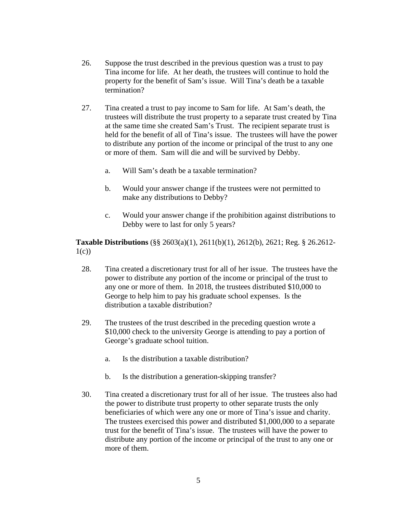- 26. Suppose the trust described in the previous question was a trust to pay Tina income for life. At her death, the trustees will continue to hold the property for the benefit of Sam's issue. Will Tina's death be a taxable termination?
- 27. Tina created a trust to pay income to Sam for life. At Sam's death, the trustees will distribute the trust property to a separate trust created by Tina at the same time she created Sam's Trust. The recipient separate trust is held for the benefit of all of Tina's issue. The trustees will have the power to distribute any portion of the income or principal of the trust to any one or more of them. Sam will die and will be survived by Debby.
	- a. Will Sam's death be a taxable termination?
	- b. Would your answer change if the trustees were not permitted to make any distributions to Debby?
	- c. Would your answer change if the prohibition against distributions to Debby were to last for only 5 years?

**Taxable Distributions** (§§ 2603(a)(1), 2611(b)(1), 2612(b), 2621; Reg. § 26.2612-  $1(c)$ 

- 28. Tina created a discretionary trust for all of her issue. The trustees have the power to distribute any portion of the income or principal of the trust to any one or more of them. In 2018, the trustees distributed \$10,000 to George to help him to pay his graduate school expenses. Is the distribution a taxable distribution?
- 29. The trustees of the trust described in the preceding question wrote a \$10,000 check to the university George is attending to pay a portion of George's graduate school tuition.
	- a. Is the distribution a taxable distribution?
	- b. Is the distribution a generation-skipping transfer?
- 30. Tina created a discretionary trust for all of her issue. The trustees also had the power to distribute trust property to other separate trusts the only beneficiaries of which were any one or more of Tina's issue and charity. The trustees exercised this power and distributed \$1,000,000 to a separate trust for the benefit of Tina's issue. The trustees will have the power to distribute any portion of the income or principal of the trust to any one or more of them.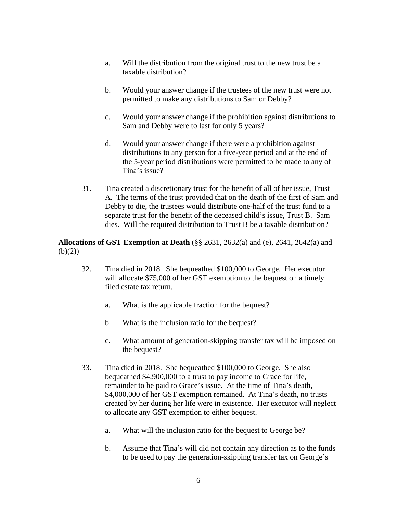- a. Will the distribution from the original trust to the new trust be a taxable distribution?
- b. Would your answer change if the trustees of the new trust were not permitted to make any distributions to Sam or Debby?
- c. Would your answer change if the prohibition against distributions to Sam and Debby were to last for only 5 years?
- d. Would your answer change if there were a prohibition against distributions to any person for a five-year period and at the end of the 5-year period distributions were permitted to be made to any of Tina's issue?
- 31. Tina created a discretionary trust for the benefit of all of her issue, Trust A. The terms of the trust provided that on the death of the first of Sam and Debby to die, the trustees would distribute one-half of the trust fund to a separate trust for the benefit of the deceased child's issue, Trust B. Sam dies. Will the required distribution to Trust B be a taxable distribution?

**Allocations of GST Exemption at Death** (§§ 2631, 2632(a) and (e), 2641, 2642(a) and  $(b)(2)$ 

- 32. Tina died in 2018. She bequeathed \$100,000 to George. Her executor will allocate \$75,000 of her GST exemption to the bequest on a timely filed estate tax return.
	- a. What is the applicable fraction for the bequest?
	- b. What is the inclusion ratio for the bequest?
	- c. What amount of generation-skipping transfer tax will be imposed on the bequest?
- 33. Tina died in 2018. She bequeathed \$100,000 to George. She also bequeathed \$4,900,000 to a trust to pay income to Grace for life, remainder to be paid to Grace's issue. At the time of Tina's death, \$4,000,000 of her GST exemption remained. At Tina's death, no trusts created by her during her life were in existence. Her executor will neglect to allocate any GST exemption to either bequest.
	- a. What will the inclusion ratio for the bequest to George be?
	- b. Assume that Tina's will did not contain any direction as to the funds to be used to pay the generation-skipping transfer tax on George's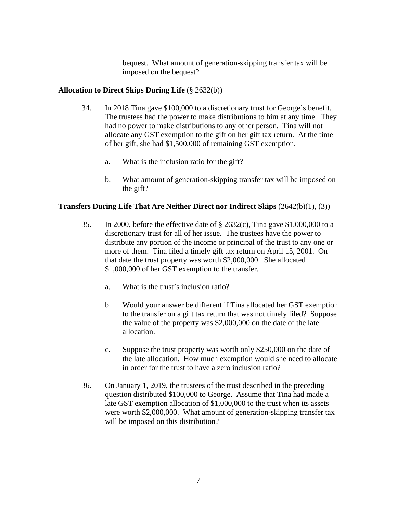bequest. What amount of generation-skipping transfer tax will be imposed on the bequest?

#### **Allocation to Direct Skips During Life** (§ 2632(b))

- 34. In 2018 Tina gave \$100,000 to a discretionary trust for George's benefit. The trustees had the power to make distributions to him at any time. They had no power to make distributions to any other person. Tina will not allocate any GST exemption to the gift on her gift tax return. At the time of her gift, she had \$1,500,000 of remaining GST exemption.
	- a. What is the inclusion ratio for the gift?
	- b. What amount of generation-skipping transfer tax will be imposed on the gift?

#### <span id="page-6-0"></span>**Transfers During Life That Are Neither Direct nor Indirect Skips** (2642(b)(1), (3))

- 35. In 2000, before the effective date of § 2632(c), Tina gave \$1,000,000 to a discretionary trust for all of her issue. The trustees have the power to distribute any portion of the income or principal of the trust to any one or more of them. Tina filed a timely gift tax return on April 15, 2001. On that date the trust property was worth \$2,000,000. She allocated \$1,000,000 of her GST exemption to the transfer.
	- a. What is the trust's inclusion ratio?
	- b. Would your answer be different if Tina allocated her GST exemption to the transfer on a gift tax return that was not timely filed? Suppose the value of the property was \$2,000,000 on the date of the late allocation.
	- c. Suppose the trust property was worth only \$250,000 on the date of the late allocation. How much exemption would she need to allocate in order for the trust to have a zero inclusion ratio?
- <span id="page-6-1"></span>36. On January 1, 2019, the trustees of the trust described in the preceding question distributed \$100,000 to George. Assume that Tina had made a late GST exemption allocation of \$1,000,000 to the trust when its assets were worth \$2,000,000. What amount of generation-skipping transfer tax will be imposed on this distribution?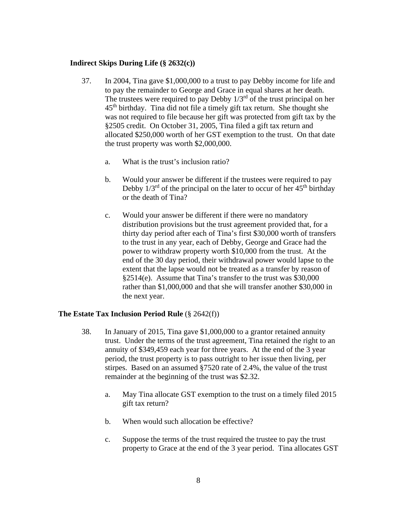### **Indirect Skips During Life (§ 2632(c))**

- 37. In 2004, Tina gave \$1,000,000 to a trust to pay Debby income for life and to pay the remainder to George and Grace in equal shares at her death. The trustees were required to pay Debby  $1/3<sup>rd</sup>$  of the trust principal on her 45th birthday. Tina did not file a timely gift tax return. She thought she was not required to file because her gift was protected from gift tax by the §2505 credit. On October 31, 2005, Tina filed a gift tax return and allocated \$250,000 worth of her GST exemption to the trust. On that date the trust property was worth \$2,000,000.
	- a. What is the trust's inclusion ratio?
	- b. Would your answer be different if the trustees were required to pay Debby  $1/3^{rd}$  of the principal on the later to occur of her  $45^{th}$  birthday or the death of Tina?
	- c. Would your answer be different if there were no mandatory distribution provisions but the trust agreement provided that, for a thirty day period after each of Tina's first \$30,000 worth of transfers to the trust in any year, each of Debby, George and Grace had the power to withdraw property worth \$10,000 from the trust. At the end of the 30 day period, their withdrawal power would lapse to the extent that the lapse would not be treated as a transfer by reason of §2514(e). Assume that Tina's transfer to the trust was \$30,000 rather than \$1,000,000 and that she will transfer another \$30,000 in the next year.

# **The Estate Tax Inclusion Period Rule** (§ 2642(f))

- 38. In January of 2015, Tina gave \$1,000,000 to a grantor retained annuity trust. Under the terms of the trust agreement, Tina retained the right to an annuity of \$349,459 each year for three years. At the end of the 3 year period, the trust property is to pass outright to her issue then living, per stirpes. Based on an assumed §7520 rate of 2.4%, the value of the trust remainder at the beginning of the trust was \$2.32.
	- a. May Tina allocate GST exemption to the trust on a timely filed 2015 gift tax return?
	- b. When would such allocation be effective?
	- c. Suppose the terms of the trust required the trustee to pay the trust property to Grace at the end of the 3 year period. Tina allocates GST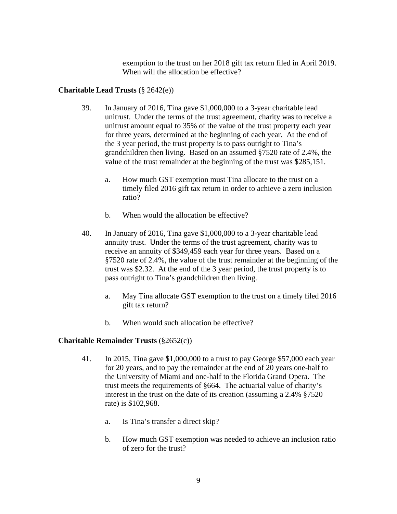exemption to the trust on her 2018 gift tax return filed in April 2019. When will the allocation be effective?

#### **Charitable Lead Trusts** (§ 2642(e))

- 39. In January of 2016, Tina gave \$1,000,000 to a 3-year charitable lead unitrust. Under the terms of the trust agreement, charity was to receive a unitrust amount equal to 35% of the value of the trust property each year for three years, determined at the beginning of each year. At the end of the 3 year period, the trust property is to pass outright to Tina's grandchildren then living. Based on an assumed §7520 rate of 2.4%, the value of the trust remainder at the beginning of the trust was \$285,151.
	- a. How much GST exemption must Tina allocate to the trust on a timely filed 2016 gift tax return in order to achieve a zero inclusion ratio?
	- b. When would the allocation be effective?
- 40. In January of 2016, Tina gave \$1,000,000 to a 3-year charitable lead annuity trust. Under the terms of the trust agreement, charity was to receive an annuity of \$349,459 each year for three years. Based on a §7520 rate of 2.4%, the value of the trust remainder at the beginning of the trust was \$2.32. At the end of the 3 year period, the trust property is to pass outright to Tina's grandchildren then living.
	- a. May Tina allocate GST exemption to the trust on a timely filed 2016 gift tax return?
	- b. When would such allocation be effective?

### **Charitable Remainder Trusts** (§2652(c))

- 41. In 2015, Tina gave \$1,000,000 to a trust to pay George \$57,000 each year for 20 years, and to pay the remainder at the end of 20 years one-half to the University of Miami and one-half to the Florida Grand Opera. The trust meets the requirements of §664. The actuarial value of charity's interest in the trust on the date of its creation (assuming a 2.4% §7520 rate) is \$102,968.
	- a. Is Tina's transfer a direct skip?
	- b. How much GST exemption was needed to achieve an inclusion ratio of zero for the trust?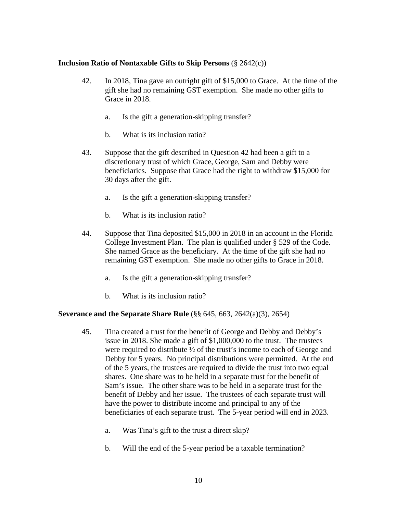### <span id="page-9-0"></span>**Inclusion Ratio of Nontaxable Gifts to Skip Persons** (§ 2642(c))

- 42. In 2018, Tina gave an outright gift of \$15,000 to Grace. At the time of the gift she had no remaining GST exemption. She made no other gifts to Grace in 2018.
	- a. Is the gift a generation-skipping transfer?
	- b. What is its inclusion ratio?
- 43. Suppose that the gift described in Question [42](#page-9-0) had been a gift to a discretionary trust of which Grace, George, Sam and Debby were beneficiaries. Suppose that Grace had the right to withdraw \$15,000 for 30 days after the gift.
	- a. Is the gift a generation-skipping transfer?
	- b. What is its inclusion ratio?
- 44. Suppose that Tina deposited \$15,000 in 2018 in an account in the Florida College Investment Plan. The plan is qualified under § 529 of the Code. She named Grace as the beneficiary. At the time of the gift she had no remaining GST exemption. She made no other gifts to Grace in 2018.
	- a. Is the gift a generation-skipping transfer?
	- b. What is its inclusion ratio?

#### **Severance and the Separate Share Rule** (§§ 645, 663, 2642(a)(3), 2654)

- 45. Tina created a trust for the benefit of George and Debby and Debby's issue in 2018. She made a gift of \$1,000,000 to the trust. The trustees were required to distribute ½ of the trust's income to each of George and Debby for 5 years. No principal distributions were permitted. At the end of the 5 years, the trustees are required to divide the trust into two equal shares. One share was to be held in a separate trust for the benefit of Sam's issue. The other share was to be held in a separate trust for the benefit of Debby and her issue. The trustees of each separate trust will have the power to distribute income and principal to any of the beneficiaries of each separate trust. The 5-year period will end in 2023.
	- a. Was Tina's gift to the trust a direct skip?
	- b. Will the end of the 5-year period be a taxable termination?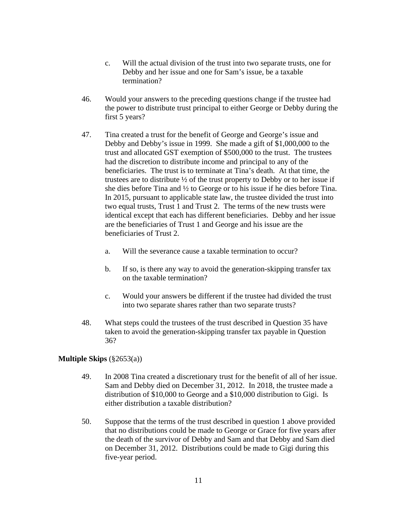- c. Will the actual division of the trust into two separate trusts, one for Debby and her issue and one for Sam's issue, be a taxable termination?
- 46. Would your answers to the preceding questions change if the trustee had the power to distribute trust principal to either George or Debby during the first 5 years?
- 47. Tina created a trust for the benefit of George and George's issue and Debby and Debby's issue in 1999. She made a gift of \$1,000,000 to the trust and allocated GST exemption of \$500,000 to the trust. The trustees had the discretion to distribute income and principal to any of the beneficiaries. The trust is to terminate at Tina's death. At that time, the trustees are to distribute ½ of the trust property to Debby or to her issue if she dies before Tina and ½ to George or to his issue if he dies before Tina. In 2015, pursuant to applicable state law, the trustee divided the trust into two equal trusts, Trust 1 and Trust 2. The terms of the new trusts were identical except that each has different beneficiaries. Debby and her issue are the beneficiaries of Trust 1 and George and his issue are the beneficiaries of Trust 2.
	- a. Will the severance cause a taxable termination to occur?
	- b. If so, is there any way to avoid the generation-skipping transfer tax on the taxable termination?
	- c. Would your answers be different if the trustee had divided the trust into two separate shares rather than two separate trusts?
- 48. What steps could the trustees of the trust described in Question [35](#page-6-0) have taken to avoid the generation-skipping transfer tax payable in Question [36?](#page-6-1)

### **Multiple Skips** (§2653(a))

- 49. In 2008 Tina created a discretionary trust for the benefit of all of her issue. Sam and Debby died on December 31, 2012. In 2018, the trustee made a distribution of \$10,000 to George and a \$10,000 distribution to Gigi. Is either distribution a taxable distribution?
- 50. Suppose that the terms of the trust described in question 1 above provided that no distributions could be made to George or Grace for five years after the death of the survivor of Debby and Sam and that Debby and Sam died on December 31, 2012. Distributions could be made to Gigi during this five-year period.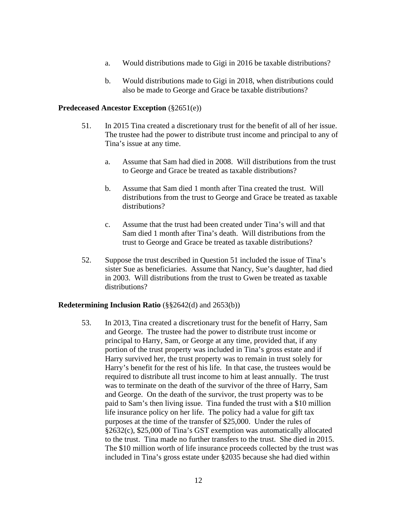- a. Would distributions made to Gigi in 2016 be taxable distributions?
- b. Would distributions made to Gigi in 2018, when distributions could also be made to George and Grace be taxable distributions?

#### <span id="page-11-0"></span>**Predeceased Ancestor Exception** (§2651(e))

- 51. In 2015 Tina created a discretionary trust for the benefit of all of her issue. The trustee had the power to distribute trust income and principal to any of Tina's issue at any time.
	- a. Assume that Sam had died in 2008. Will distributions from the trust to George and Grace be treated as taxable distributions?
	- b. Assume that Sam died 1 month after Tina created the trust. Will distributions from the trust to George and Grace be treated as taxable distributions?
	- c. Assume that the trust had been created under Tina's will and that Sam died 1 month after Tina's death. Will distributions from the trust to George and Grace be treated as taxable distributions?
- 52. Suppose the trust described in Question [51](#page-11-0) included the issue of Tina's sister Sue as beneficiaries. Assume that Nancy, Sue's daughter, had died in 2003. Will distributions from the trust to Gwen be treated as taxable distributions?

#### **Redetermining Inclusion Ratio** (§§2642(d) and 2653(b))

53. In 2013, Tina created a discretionary trust for the benefit of Harry, Sam and George. The trustee had the power to distribute trust income or principal to Harry, Sam, or George at any time, provided that, if any portion of the trust property was included in Tina's gross estate and if Harry survived her, the trust property was to remain in trust solely for Harry's benefit for the rest of his life. In that case, the trustees would be required to distribute all trust income to him at least annually. The trust was to terminate on the death of the survivor of the three of Harry, Sam and George. On the death of the survivor, the trust property was to be paid to Sam's then living issue. Tina funded the trust with a \$10 million life insurance policy on her life. The policy had a value for gift tax purposes at the time of the transfer of \$25,000. Under the rules of §2632(c), \$25,000 of Tina's GST exemption was automatically allocated to the trust. Tina made no further transfers to the trust. She died in 2015. The \$10 million worth of life insurance proceeds collected by the trust was included in Tina's gross estate under §2035 because she had died within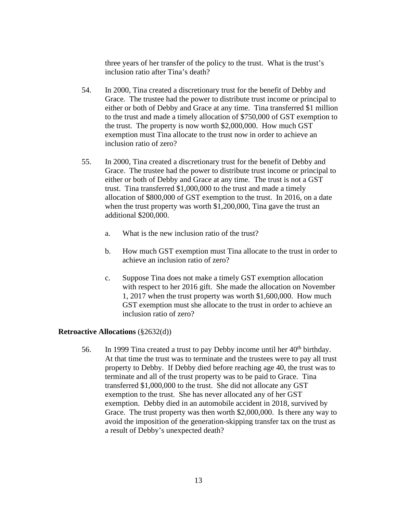three years of her transfer of the policy to the trust. What is the trust's inclusion ratio after Tina's death?

- 54. In 2000, Tina created a discretionary trust for the benefit of Debby and Grace. The trustee had the power to distribute trust income or principal to either or both of Debby and Grace at any time. Tina transferred \$1 million to the trust and made a timely allocation of \$750,000 of GST exemption to the trust. The property is now worth \$2,000,000. How much GST exemption must Tina allocate to the trust now in order to achieve an inclusion ratio of zero?
- 55. In 2000, Tina created a discretionary trust for the benefit of Debby and Grace. The trustee had the power to distribute trust income or principal to either or both of Debby and Grace at any time. The trust is not a GST trust. Tina transferred \$1,000,000 to the trust and made a timely allocation of \$800,000 of GST exemption to the trust. In 2016, on a date when the trust property was worth \$1,200,000, Tina gave the trust an additional \$200,000.
	- a. What is the new inclusion ratio of the trust?
	- b. How much GST exemption must Tina allocate to the trust in order to achieve an inclusion ratio of zero?
	- c. Suppose Tina does not make a timely GST exemption allocation with respect to her 2016 gift. She made the allocation on November 1, 2017 when the trust property was worth \$1,600,000. How much GST exemption must she allocate to the trust in order to achieve an inclusion ratio of zero?

### **Retroactive Allocations** (§2632(d))

56. In 1999 Tina created a trust to pay Debby income until her  $40<sup>th</sup>$  birthday. At that time the trust was to terminate and the trustees were to pay all trust property to Debby. If Debby died before reaching age 40, the trust was to terminate and all of the trust property was to be paid to Grace. Tina transferred \$1,000,000 to the trust. She did not allocate any GST exemption to the trust. She has never allocated any of her GST exemption. Debby died in an automobile accident in 2018, survived by Grace. The trust property was then worth \$2,000,000. Is there any way to avoid the imposition of the generation-skipping transfer tax on the trust as a result of Debby's unexpected death?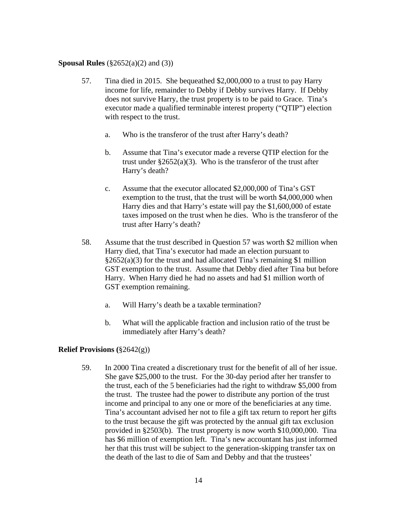## <span id="page-13-0"></span>**Spousal Rules** (§2652(a)(2) and (3))

- 57. Tina died in 2015. She bequeathed \$2,000,000 to a trust to pay Harry income for life, remainder to Debby if Debby survives Harry. If Debby does not survive Harry, the trust property is to be paid to Grace. Tina's executor made a qualified terminable interest property ("QTIP") election with respect to the trust.
	- a. Who is the transferor of the trust after Harry's death?
	- b. Assume that Tina's executor made a reverse QTIP election for the trust under  $\S 2652(a)(3)$ . Who is the transferor of the trust after Harry's death?
	- c. Assume that the executor allocated \$2,000,000 of Tina's GST exemption to the trust, that the trust will be worth \$4,000,000 when Harry dies and that Harry's estate will pay the \$1,600,000 of estate taxes imposed on the trust when he dies. Who is the transferor of the trust after Harry's death?
- 58. Assume that the trust described in Question [57](#page-13-0) was worth \$2 million when Harry died, that Tina's executor had made an election pursuant to §2652(a)(3) for the trust and had allocated Tina's remaining \$1 million GST exemption to the trust. Assume that Debby died after Tina but before Harry. When Harry died he had no assets and had \$1 million worth of GST exemption remaining.
	- a. Will Harry's death be a taxable termination?
	- b. What will the applicable fraction and inclusion ratio of the trust be immediately after Harry's death?

# **Relief Provisions (**§2642(g))

59. In 2000 Tina created a discretionary trust for the benefit of all of her issue. She gave \$25,000 to the trust. For the 30-day period after her transfer to the trust, each of the 5 beneficiaries had the right to withdraw \$5,000 from the trust. The trustee had the power to distribute any portion of the trust income and principal to any one or more of the beneficiaries at any time. Tina's accountant advised her not to file a gift tax return to report her gifts to the trust because the gift was protected by the annual gift tax exclusion provided in §2503(b). The trust property is now worth \$10,000,000. Tina has \$6 million of exemption left. Tina's new accountant has just informed her that this trust will be subject to the generation-skipping transfer tax on the death of the last to die of Sam and Debby and that the trustees'